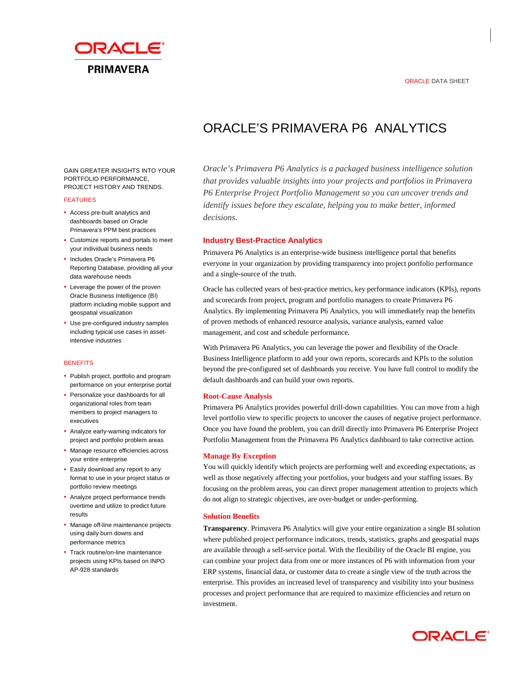## ORACLE DATA SHEET



# ORACLE'S PRIMAVERA P6 ANALYTICS

GAIN GREATER INSIGHTS INTO YOUR PORTFOLIO PERFORMANCE, PROJECT HISTORY AND TRENDS.

#### FEATURES

- Access pre-built analytics and dashboards based on Oracle Primavera's PPM best practices
- Customize reports and portals to meet your individual business needs
- Includes Oracle's Primavera P6 Reporting Database, providing all your data warehouse needs
- Leverage the power of the proven Oracle Business Intelligence (BI) platform including mobile support and geospatial visualization
- Use pre-configured industry samples including typical use cases in assetintensive industries

## **BENEFITS**

- Publish project, portfolio and program performance on your enterprise portal
- Personalize your dashboards for all organizational roles from team members to project managers to executives
- Analyze early-warning indicators for project and portfolio problem areas
- Manage resource efficiencies across your entire enterprise
- Easily download any report to any format to use in your project status or portfolio review meetings
- Analyze project performance trends overtime and utilize to predict future results
- Manage off-line maintenance projects using daily burn downs and performance metrics
- Track routine/on-line maintenance projects using KPIs based on INPO AP-928 standards

*Oracle's Primavera P6 Analytics is a packaged business intelligence solution that provides valuable insights into your projects and portfolios in Primavera P6 Enterprise Project Portfolio Management so you can uncover trends and identify issues before they escalate, helping you to make better, informed decisions.*

# **Industry Best-Practice Analytics**

Primavera P6 Analytics is an enterprise-wide business intelligence portal that benefits everyone in your organization by providing transparency into project portfolio performance and a single-source of the truth.

Oracle has collected years of best-practice metrics, key performance indicators (KPIs), reports and scorecards from project, program and portfolio managers to create Primavera P6 Analytics. By implementing Primavera P6 Analytics, you will immediately reap the benefits of proven methods of enhanced resource analysis, variance analysis, earned value management, and cost and schedule performance.

With Primavera P6 Analytics, you can leverage the power and flexibility of the Oracle Business Intelligence platform to add your own reports, scorecards and KPIs to the solution beyond the pre-configured set of dashboards you receive. You have full control to modify the default dashboards and can build your own reports.

### **Root-Cause Analysis**

Primavera P6 Analytics provides powerful drill-down capabilities. You can move from a high level portfolio view to specific projects to uncover the causes of negative project performance. Once you have found the problem, you can drill directly into Primavera P6 Enterprise Project Portfolio Management from the Primavera P6 Analytics dashboard to take corrective action.

## **Manage By Exception**

You will quickly identify which projects are performing well and exceeding expectations, as well as those negatively affecting your portfolios, your budgets and your staffing issues. By focusing on the problem areas, you can direct proper management attention to projects which do not align to strategic objectives, are over-budget or under-performing.

# **Solution Benefits**

**Transparency**. Primavera P6 Analytics will give your entire organization a single BI solution where published project performance indicators, trends, statistics, graphs and geospatial maps are available through a self-service portal. With the flexibility of the Oracle BI engine, you can combine your project data from one or more instances of P6 with information from your ERP systems, financial data, or customer data to create a single view of the truth across the enterprise. This provides an increased level of transparency and visibility into your business processes and project performance that are required to maximize efficiencies and return on investment.

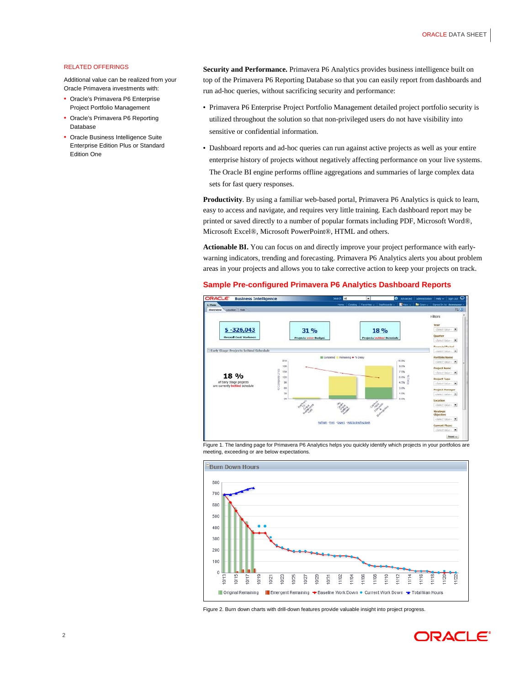# RELATED OFFERINGS

Additional value can be realized from your Oracle Primavera investments with:

- Oracle's Primavera P6 Enterprise Project Portfolio Management
- Oracle's Primavera P6 Reporting Database
- Oracle Business Intelligence Suite Enterprise Edition Plus or Standard Edition One

**Security and Performance.** Primavera P6 Analytics provides business intelligence built on top of the Primavera P6 Reporting Database so that you can easily report from dashboards and run ad-hoc queries, without sacrificing security and performance:

- Primavera P6 Enterprise Project Portfolio Management detailed project portfolio security is utilized throughout the solution so that non-privileged users do not have visibility into sensitive or confidential information.
- Dashboard reports and ad-hoc queries can run against active projects as well as your entire enterprise history of projects without negatively affecting performance on your live systems. The Oracle BI engine performs offline aggregations and summaries of large complex data sets for fast query responses.

**Productivity**. By using a familiar web-based portal, Primavera P6 Analytics is quick to learn, easy to access and navigate, and requires very little training. Each dashboard report may be printed or saved directly to a number of popular formats including PDF, Microsoft Word®, Microsoft Excel®, Microsoft PowerPoint®, HTML and others.

**Actionable BI.** You can focus on and directly improve your project performance with earlywarning indicators, trending and forecasting. Primavera P6 Analytics alerts you about problem areas in your projects and allows you to take corrective action to keep your projects on track.

## **Sample Pre-configured Primavera P6 Analytics Dashboard Reports**



Figure 1. The landing page for Primavera P6 Analytics helps you quickly identify which projects in your portfolios are meeting, exceeding or are below expectations.



Figure 2. Burn down charts with drill-down features provide valuable insight into project progress.